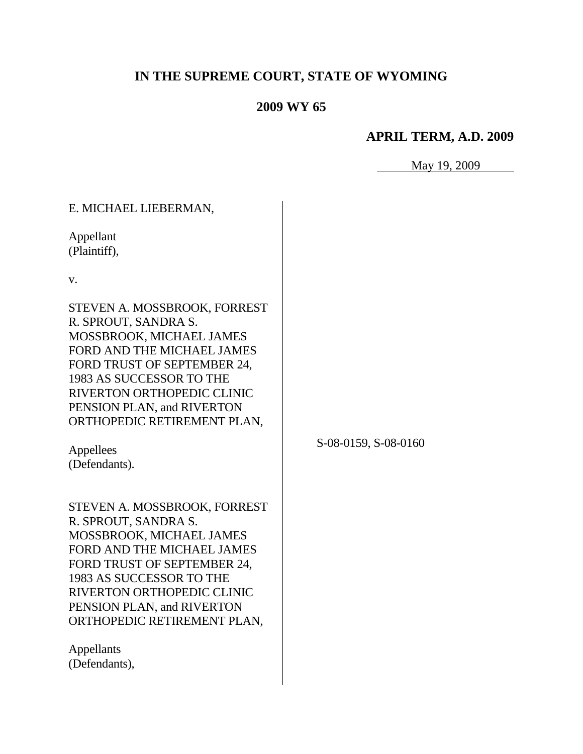# **IN THE SUPREME COURT, STATE OF WYOMING**

## **2009 WY 65**

## **APRIL TERM, A.D. 2009**

May 19, 2009

| E. MICHAEL LIEBERMAN,                                                                                                                                                                                                                                                |                      |
|----------------------------------------------------------------------------------------------------------------------------------------------------------------------------------------------------------------------------------------------------------------------|----------------------|
| Appellant<br>(Plaintiff),                                                                                                                                                                                                                                            |                      |
| V.                                                                                                                                                                                                                                                                   |                      |
| STEVEN A. MOSSBROOK, FORREST<br>R. SPROUT, SANDRA S.<br>MOSSBROOK, MICHAEL JAMES<br>FORD AND THE MICHAEL JAMES<br>FORD TRUST OF SEPTEMBER 24,<br>1983 AS SUCCESSOR TO THE<br>RIVERTON ORTHOPEDIC CLINIC<br>PENSION PLAN, and RIVERTON<br>ORTHOPEDIC RETIREMENT PLAN, | S-08-0159, S-08-0160 |
| Appellees<br>(Defendants).                                                                                                                                                                                                                                           |                      |
| STEVEN A. MOSSBROOK, FORREST<br>R. SPROUT, SANDRA S.<br>MOSSBROOK, MICHAEL JAMES<br>FORD AND THE MICHAEL JAMES<br>FORD TRUST OF SEPTEMBER 24,<br>1983 AS SUCCESSOR TO THE<br>RIVERTON ORTHOPEDIC CLINIC<br>PENSION PLAN, and RIVERTON<br>ORTHOPEDIC RETIREMENT PLAN, |                      |
| Appellants<br>(Defendants),                                                                                                                                                                                                                                          |                      |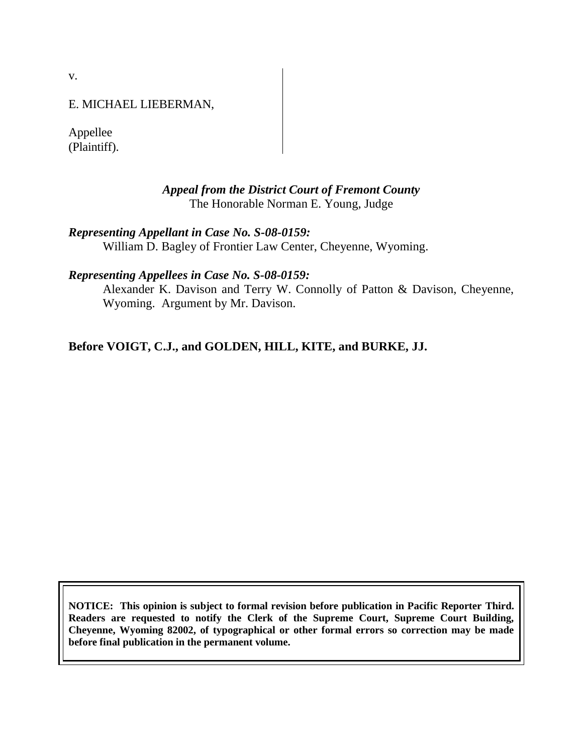v.

E. MICHAEL LIEBERMAN,

Appellee (Plaintiff).

#### *Appeal from the District Court of Fremont County* The Honorable Norman E. Young, Judge

*Representing Appellant in Case No. S-08-0159:*

William D. Bagley of Frontier Law Center, Cheyenne, Wyoming.

#### *Representing Appellees in Case No. S-08-0159:*

Alexander K. Davison and Terry W. Connolly of Patton & Davison, Cheyenne, Wyoming. Argument by Mr. Davison.

**Before VOIGT, C.J., and GOLDEN, HILL, KITE, and BURKE, JJ.**

**NOTICE: This opinion is subject to formal revision before publication in Pacific Reporter Third. Readers are requested to notify the Clerk of the Supreme Court, Supreme Court Building, Cheyenne, Wyoming 82002, of typographical or other formal errors so correction may be made before final publication in the permanent volume.**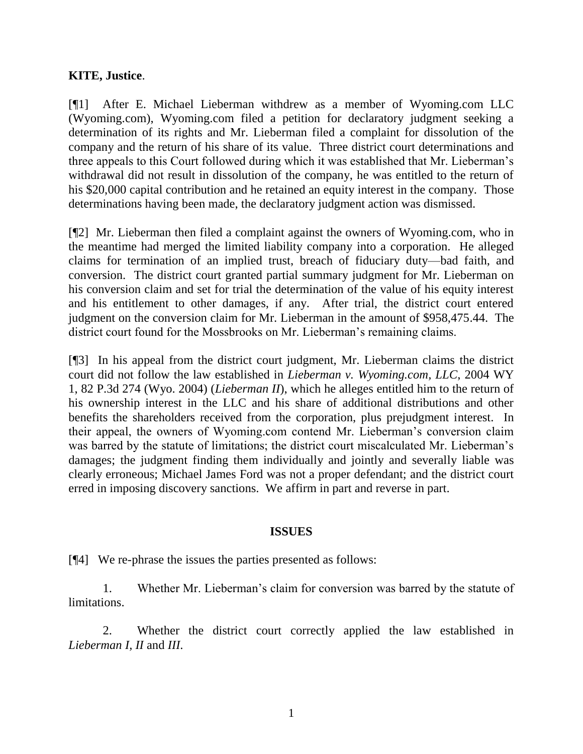#### **KITE, Justice**.

[¶1] After E. Michael Lieberman withdrew as a member of Wyoming.com LLC (Wyoming.com), Wyoming.com filed a petition for declaratory judgment seeking a determination of its rights and Mr. Lieberman filed a complaint for dissolution of the company and the return of his share of its value. Three district court determinations and three appeals to this Court followed during which it was established that Mr. Lieberman's withdrawal did not result in dissolution of the company, he was entitled to the return of his \$20,000 capital contribution and he retained an equity interest in the company. Those determinations having been made, the declaratory judgment action was dismissed.

[¶2] Mr. Lieberman then filed a complaint against the owners of Wyoming.com, who in the meantime had merged the limited liability company into a corporation. He alleged claims for termination of an implied trust, breach of fiduciary duty—bad faith, and conversion. The district court granted partial summary judgment for Mr. Lieberman on his conversion claim and set for trial the determination of the value of his equity interest and his entitlement to other damages, if any. After trial, the district court entered judgment on the conversion claim for Mr. Lieberman in the amount of \$958,475.44. The district court found for the Mossbrooks on Mr. Lieberman's remaining claims.

[¶3] In his appeal from the district court judgment, Mr. Lieberman claims the district court did not follow the law established in *Lieberman v. Wyoming.com, LLC*, 2004 WY 1, 82 P.3d 274 (Wyo. 2004) (*Lieberman II*), which he alleges entitled him to the return of his ownership interest in the LLC and his share of additional distributions and other benefits the shareholders received from the corporation, plus prejudgment interest. In their appeal, the owners of Wyoming.com contend Mr. Lieberman's conversion claim was barred by the statute of limitations; the district court miscalculated Mr. Lieberman's damages; the judgment finding them individually and jointly and severally liable was clearly erroneous; Michael James Ford was not a proper defendant; and the district court erred in imposing discovery sanctions. We affirm in part and reverse in part.

#### **ISSUES**

[¶4] We re-phrase the issues the parties presented as follows:

1. Whether Mr. Lieberman's claim for conversion was barred by the statute of limitations.

2. Whether the district court correctly applied the law established in *Lieberman I, II* and *III*.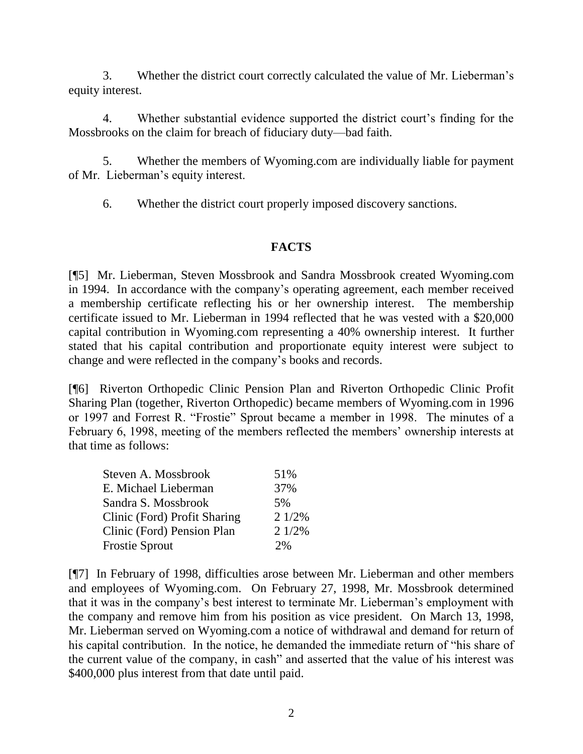3. Whether the district court correctly calculated the value of Mr. Lieberman's equity interest.

4. Whether substantial evidence supported the district court's finding for the Mossbrooks on the claim for breach of fiduciary duty—bad faith.

5. Whether the members of Wyoming.com are individually liable for payment of Mr. Lieberman's equity interest.

6. Whether the district court properly imposed discovery sanctions.

#### **FACTS**

[¶5] Mr. Lieberman, Steven Mossbrook and Sandra Mossbrook created Wyoming.com in 1994. In accordance with the company's operating agreement, each member received a membership certificate reflecting his or her ownership interest. The membership certificate issued to Mr. Lieberman in 1994 reflected that he was vested with a \$20,000 capital contribution in Wyoming.com representing a 40% ownership interest. It further stated that his capital contribution and proportionate equity interest were subject to change and were reflected in the company's books and records.

[¶6] Riverton Orthopedic Clinic Pension Plan and Riverton Orthopedic Clinic Profit Sharing Plan (together, Riverton Orthopedic) became members of Wyoming.com in 1996 or 1997 and Forrest R. "Frostie" Sprout became a member in 1998. The minutes of a February 6, 1998, meeting of the members reflected the members' ownership interests at that time as follows:

| Steven A. Mossbrook          | 51%    |
|------------------------------|--------|
| E. Michael Lieberman         | 37%    |
| Sandra S. Mossbrook          | 5%     |
| Clinic (Ford) Profit Sharing | 21/2%  |
| Clinic (Ford) Pension Plan   | 2 1/2% |
| <b>Frostie Sprout</b>        | 2%     |

[¶7] In February of 1998, difficulties arose between Mr. Lieberman and other members and employees of Wyoming.com. On February 27, 1998, Mr. Mossbrook determined that it was in the company's best interest to terminate Mr. Lieberman's employment with the company and remove him from his position as vice president. On March 13, 1998, Mr. Lieberman served on Wyoming.com a notice of withdrawal and demand for return of his capital contribution. In the notice, he demanded the immediate return of "his share of the current value of the company, in cash" and asserted that the value of his interest was \$400,000 plus interest from that date until paid.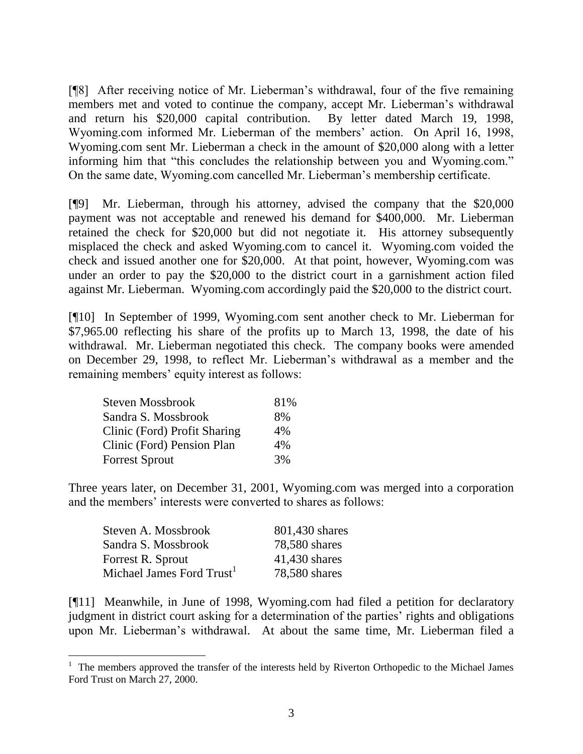[¶8] After receiving notice of Mr. Lieberman's withdrawal, four of the five remaining members met and voted to continue the company, accept Mr. Lieberman's withdrawal and return his \$20,000 capital contribution. By letter dated March 19, 1998, Wyoming.com informed Mr. Lieberman of the members' action. On April 16, 1998, Wyoming.com sent Mr. Lieberman a check in the amount of \$20,000 along with a letter informing him that "this concludes the relationship between you and Wyoming.com." On the same date, Wyoming.com cancelled Mr. Lieberman's membership certificate.

[¶9] Mr. Lieberman, through his attorney, advised the company that the \$20,000 payment was not acceptable and renewed his demand for \$400,000. Mr. Lieberman retained the check for \$20,000 but did not negotiate it. His attorney subsequently misplaced the check and asked Wyoming.com to cancel it. Wyoming.com voided the check and issued another one for \$20,000. At that point, however, Wyoming.com was under an order to pay the \$20,000 to the district court in a garnishment action filed against Mr. Lieberman. Wyoming.com accordingly paid the \$20,000 to the district court.

[¶10] In September of 1999, Wyoming.com sent another check to Mr. Lieberman for \$7,965.00 reflecting his share of the profits up to March 13, 1998, the date of his withdrawal. Mr. Lieberman negotiated this check. The company books were amended on December 29, 1998, to reflect Mr. Lieberman's withdrawal as a member and the remaining members' equity interest as follows:

| <b>Steven Mossbrook</b>      | 81% |
|------------------------------|-----|
| Sandra S. Mossbrook          | 8%  |
| Clinic (Ford) Profit Sharing | 4%  |
| Clinic (Ford) Pension Plan   | 4%  |
| <b>Forrest Sprout</b>        | 3%  |

l

Three years later, on December 31, 2001, Wyoming.com was merged into a corporation and the members' interests were converted to shares as follows:

| Steven A. Mossbrook                   | 801,430 shares |
|---------------------------------------|----------------|
| Sandra S. Mossbrook                   | 78,580 shares  |
| Forrest R. Sprout                     | 41,430 shares  |
| Michael James Ford Trust <sup>1</sup> | 78,580 shares  |

[¶11] Meanwhile, in June of 1998, Wyoming.com had filed a petition for declaratory judgment in district court asking for a determination of the parties' rights and obligations upon Mr. Lieberman's withdrawal. At about the same time, Mr. Lieberman filed a

<sup>&</sup>lt;sup>1</sup> The members approved the transfer of the interests held by Riverton Orthopedic to the Michael James Ford Trust on March 27, 2000.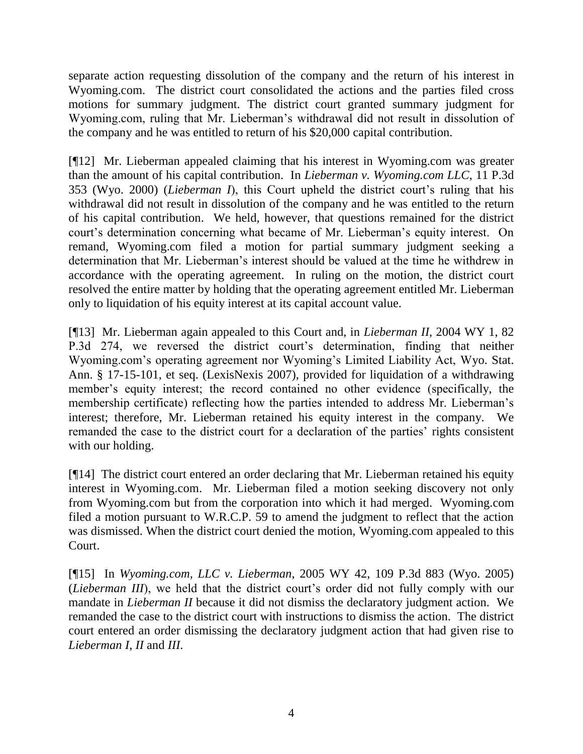separate action requesting dissolution of the company and the return of his interest in Wyoming.com. The district court consolidated the actions and the parties filed cross motions for summary judgment. The district court granted summary judgment for Wyoming.com, ruling that Mr. Lieberman's withdrawal did not result in dissolution of the company and he was entitled to return of his \$20,000 capital contribution.

[¶12] Mr. Lieberman appealed claiming that his interest in Wyoming.com was greater than the amount of his capital contribution. In *Lieberman v. Wyoming.com LLC*, 11 P.3d 353 (Wyo. 2000) (*Lieberman I*), this Court upheld the district court's ruling that his withdrawal did not result in dissolution of the company and he was entitled to the return of his capital contribution. We held, however, that questions remained for the district court's determination concerning what became of Mr. Lieberman's equity interest. On remand, Wyoming.com filed a motion for partial summary judgment seeking a determination that Mr. Lieberman's interest should be valued at the time he withdrew in accordance with the operating agreement. In ruling on the motion, the district court resolved the entire matter by holding that the operating agreement entitled Mr. Lieberman only to liquidation of his equity interest at its capital account value.

[¶13] Mr. Lieberman again appealed to this Court and, in *Lieberman II*, 2004 WY 1, 82 P.3d 274, we reversed the district court's determination, finding that neither Wyoming.com's operating agreement nor Wyoming's Limited Liability Act, Wyo. Stat. Ann. § 17-15-101, et seq. (LexisNexis 2007), provided for liquidation of a withdrawing member's equity interest; the record contained no other evidence (specifically, the membership certificate) reflecting how the parties intended to address Mr. Lieberman's interest; therefore, Mr. Lieberman retained his equity interest in the company. We remanded the case to the district court for a declaration of the parties' rights consistent with our holding.

[¶14] The district court entered an order declaring that Mr. Lieberman retained his equity interest in Wyoming.com. Mr. Lieberman filed a motion seeking discovery not only from Wyoming.com but from the corporation into which it had merged. Wyoming.com filed a motion pursuant to W.R.C.P. 59 to amend the judgment to reflect that the action was dismissed. When the district court denied the motion, Wyoming.com appealed to this Court.

[¶15] In *Wyoming.com, LLC v. Lieberman*, 2005 WY 42, 109 P.3d 883 (Wyo. 2005) (*Lieberman III*), we held that the district court's order did not fully comply with our mandate in *Lieberman II* because it did not dismiss the declaratory judgment action. We remanded the case to the district court with instructions to dismiss the action. The district court entered an order dismissing the declaratory judgment action that had given rise to *Lieberman I*, *II* and *III*.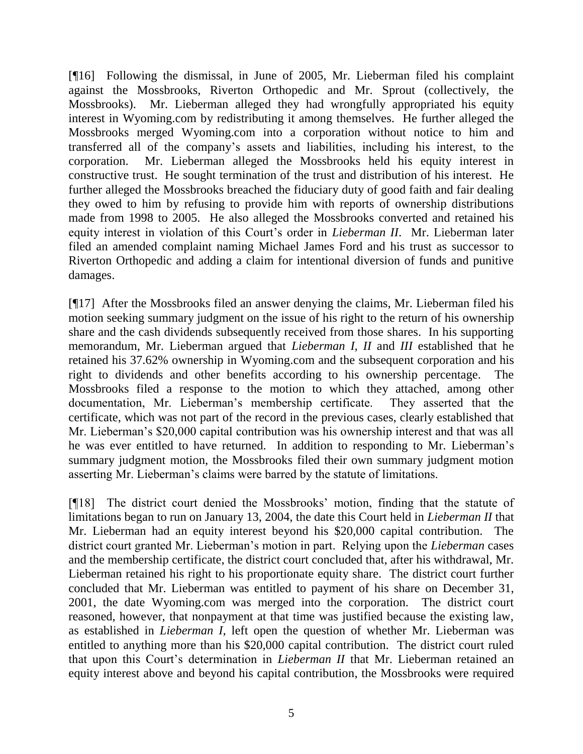[¶16] Following the dismissal, in June of 2005, Mr. Lieberman filed his complaint against the Mossbrooks, Riverton Orthopedic and Mr. Sprout (collectively, the Mossbrooks). Mr. Lieberman alleged they had wrongfully appropriated his equity interest in Wyoming.com by redistributing it among themselves. He further alleged the Mossbrooks merged Wyoming.com into a corporation without notice to him and transferred all of the company's assets and liabilities, including his interest, to the corporation. Mr. Lieberman alleged the Mossbrooks held his equity interest in constructive trust. He sought termination of the trust and distribution of his interest. He further alleged the Mossbrooks breached the fiduciary duty of good faith and fair dealing they owed to him by refusing to provide him with reports of ownership distributions made from 1998 to 2005. He also alleged the Mossbrooks converted and retained his equity interest in violation of this Court's order in *Lieberman II*. Mr. Lieberman later filed an amended complaint naming Michael James Ford and his trust as successor to Riverton Orthopedic and adding a claim for intentional diversion of funds and punitive damages.

[¶17] After the Mossbrooks filed an answer denying the claims, Mr. Lieberman filed his motion seeking summary judgment on the issue of his right to the return of his ownership share and the cash dividends subsequently received from those shares. In his supporting memorandum, Mr. Lieberman argued that *Lieberman I, II* and *III* established that he retained his 37.62% ownership in Wyoming.com and the subsequent corporation and his right to dividends and other benefits according to his ownership percentage. Mossbrooks filed a response to the motion to which they attached, among other documentation, Mr. Lieberman's membership certificate. They asserted that the certificate, which was not part of the record in the previous cases, clearly established that Mr. Lieberman's \$20,000 capital contribution was his ownership interest and that was all he was ever entitled to have returned. In addition to responding to Mr. Lieberman's summary judgment motion, the Mossbrooks filed their own summary judgment motion asserting Mr. Lieberman's claims were barred by the statute of limitations.

[¶18] The district court denied the Mossbrooks' motion, finding that the statute of limitations began to run on January 13, 2004, the date this Court held in *Lieberman II* that Mr. Lieberman had an equity interest beyond his \$20,000 capital contribution. The district court granted Mr. Lieberman's motion in part. Relying upon the *Lieberman* cases and the membership certificate, the district court concluded that, after his withdrawal, Mr. Lieberman retained his right to his proportionate equity share. The district court further concluded that Mr. Lieberman was entitled to payment of his share on December 31, 2001, the date Wyoming.com was merged into the corporation. The district court reasoned, however, that nonpayment at that time was justified because the existing law, as established in *Lieberman I*, left open the question of whether Mr. Lieberman was entitled to anything more than his \$20,000 capital contribution. The district court ruled that upon this Court's determination in *Lieberman II* that Mr. Lieberman retained an equity interest above and beyond his capital contribution, the Mossbrooks were required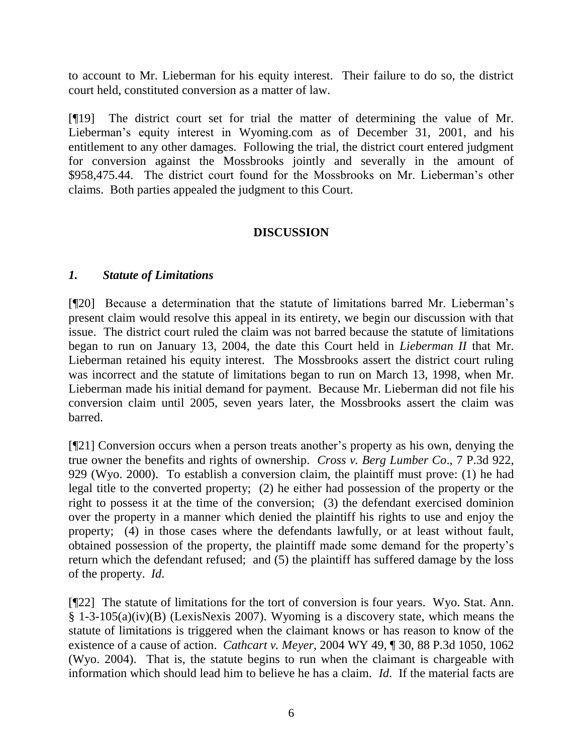to account to Mr. Lieberman for his equity interest. Their failure to do so, the district court held, constituted conversion as a matter of law.

[¶19] The district court set for trial the matter of determining the value of Mr. Lieberman's equity interest in Wyoming.com as of December 31, 2001, and his entitlement to any other damages. Following the trial, the district court entered judgment for conversion against the Mossbrooks jointly and severally in the amount of \$958,475.44. The district court found for the Mossbrooks on Mr. Lieberman's other claims. Both parties appealed the judgment to this Court.

#### **DISCUSSION**

#### *1. Statute of Limitations*

[¶20] Because a determination that the statute of limitations barred Mr. Lieberman's present claim would resolve this appeal in its entirety, we begin our discussion with that issue. The district court ruled the claim was not barred because the statute of limitations began to run on January 13, 2004, the date this Court held in *Lieberman II* that Mr. Lieberman retained his equity interest. The Mossbrooks assert the district court ruling was incorrect and the statute of limitations began to run on March 13, 1998, when Mr. Lieberman made his initial demand for payment. Because Mr. Lieberman did not file his conversion claim until 2005, seven years later, the Mossbrooks assert the claim was barred.

[¶21] Conversion occurs when a person treats another's property as his own, denying the true owner the benefits and rights of ownership. *Cross v. Berg Lumber Co*., 7 P.3d 922, 929 (Wyo. 2000). To establish a conversion claim, the plaintiff must prove: (1) he had legal title to the converted property; (2) he either had possession of the property or the right to possess it at the time of the conversion; (3) the defendant exercised dominion over the property in a manner which denied the plaintiff his rights to use and enjoy the property; (4) in those cases where the defendants lawfully, or at least without fault, obtained possession of the property, the plaintiff made some demand for the property's return which the defendant refused; and (5) the plaintiff has suffered damage by the loss of the property. *Id*.

[¶22] The statute of limitations for the tort of conversion is four years. Wyo. Stat. Ann. § 1-3-105(a)(iv)(B) (LexisNexis 2007). Wyoming is a discovery state, which means the statute of limitations is triggered when the claimant knows or has reason to know of the existence of a cause of action. *Cathcart v. Meyer*, 2004 WY 49, ¶ 30, 88 P.3d 1050, 1062 (Wyo. 2004). That is, the statute begins to run when the claimant is chargeable with information which should lead him to believe he has a claim. *Id*. If the material facts are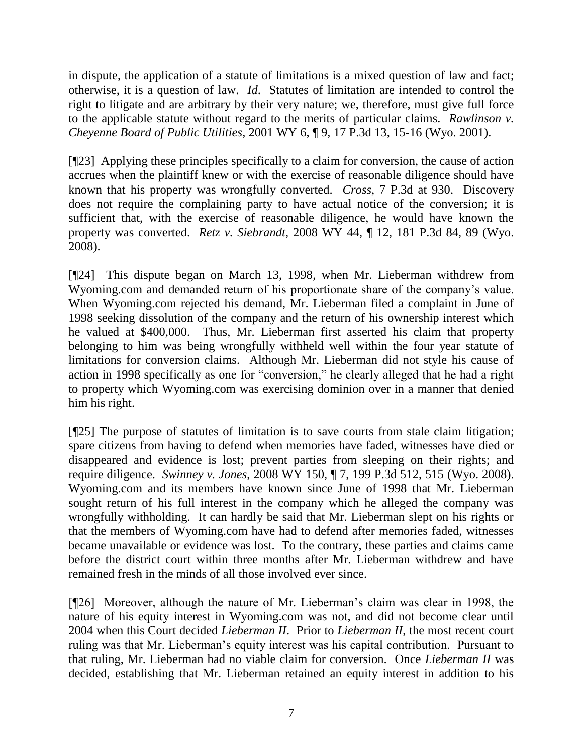in dispute, the application of a statute of limitations is a mixed question of law and fact; otherwise, it is a question of law. *Id*. Statutes of limitation are intended to control the right to litigate and are arbitrary by their very nature; we, therefore, must give full force to the applicable statute without regard to the merits of particular claims. *Rawlinson v. Cheyenne Board of Public Utilities*, 2001 WY 6, ¶ 9, 17 P.3d 13, 15-16 (Wyo. 2001).

[¶23] Applying these principles specifically to a claim for conversion, the cause of action accrues when the plaintiff knew or with the exercise of reasonable diligence should have known that his property was wrongfully converted. *Cross*, 7 P.3d at 930. Discovery does not require the complaining party to have actual notice of the conversion; it is sufficient that, with the exercise of reasonable diligence, he would have known the property was converted. *Retz v. Siebrandt*, 2008 WY 44, ¶ 12, 181 P.3d 84, 89 (Wyo. 2008).

[¶24] This dispute began on March 13, 1998, when Mr. Lieberman withdrew from Wyoming.com and demanded return of his proportionate share of the company's value. When Wyoming.com rejected his demand, Mr. Lieberman filed a complaint in June of 1998 seeking dissolution of the company and the return of his ownership interest which he valued at \$400,000. Thus, Mr. Lieberman first asserted his claim that property belonging to him was being wrongfully withheld well within the four year statute of limitations for conversion claims. Although Mr. Lieberman did not style his cause of action in 1998 specifically as one for "conversion," he clearly alleged that he had a right to property which Wyoming.com was exercising dominion over in a manner that denied him his right.

[¶25] The purpose of statutes of limitation is to save courts from stale claim litigation; spare citizens from having to defend when memories have faded, witnesses have died or disappeared and evidence is lost; prevent parties from sleeping on their rights; and require diligence. *Swinney v. Jones*, 2008 WY 150, ¶ 7, 199 P.3d 512, 515 (Wyo. 2008). Wyoming.com and its members have known since June of 1998 that Mr. Lieberman sought return of his full interest in the company which he alleged the company was wrongfully withholding. It can hardly be said that Mr. Lieberman slept on his rights or that the members of Wyoming.com have had to defend after memories faded, witnesses became unavailable or evidence was lost. To the contrary, these parties and claims came before the district court within three months after Mr. Lieberman withdrew and have remained fresh in the minds of all those involved ever since.

[¶26] Moreover, although the nature of Mr. Lieberman's claim was clear in 1998, the nature of his equity interest in Wyoming.com was not, and did not become clear until 2004 when this Court decided *Lieberman II*. Prior to *Lieberman II*, the most recent court ruling was that Mr. Lieberman's equity interest was his capital contribution. Pursuant to that ruling, Mr. Lieberman had no viable claim for conversion. Once *Lieberman II* was decided, establishing that Mr. Lieberman retained an equity interest in addition to his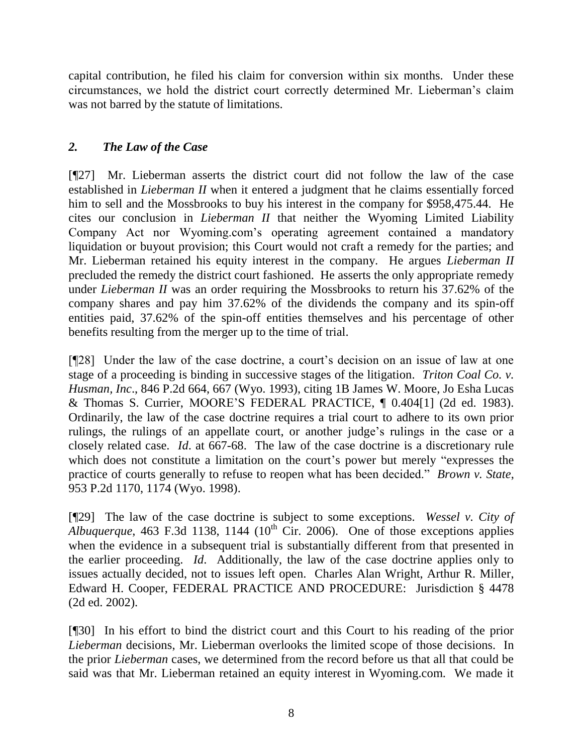capital contribution, he filed his claim for conversion within six months. Under these circumstances, we hold the district court correctly determined Mr. Lieberman's claim was not barred by the statute of limitations.

### *2. The Law of the Case*

[¶27] Mr. Lieberman asserts the district court did not follow the law of the case established in *Lieberman II* when it entered a judgment that he claims essentially forced him to sell and the Mossbrooks to buy his interest in the company for \$958,475.44. He cites our conclusion in *Lieberman II* that neither the Wyoming Limited Liability Company Act nor Wyoming.com's operating agreement contained a mandatory liquidation or buyout provision; this Court would not craft a remedy for the parties; and Mr. Lieberman retained his equity interest in the company. He argues *Lieberman II* precluded the remedy the district court fashioned. He asserts the only appropriate remedy under *Lieberman II* was an order requiring the Mossbrooks to return his 37.62% of the company shares and pay him 37.62% of the dividends the company and its spin-off entities paid, 37.62% of the spin-off entities themselves and his percentage of other benefits resulting from the merger up to the time of trial.

[¶28] Under the law of the case doctrine, a court's decision on an issue of law at one stage of a proceeding is binding in successive stages of the litigation. *Triton Coal Co. v. Husman, Inc*., 846 P.2d 664, 667 (Wyo. 1993), citing 1B James W. Moore, Jo Esha Lucas & Thomas S. Currier, MOORE'S FEDERAL PRACTICE, ¶ 0.404[1] (2d ed. 1983). Ordinarily, the law of the case doctrine requires a trial court to adhere to its own prior rulings, the rulings of an appellate court, or another judge's rulings in the case or a closely related case. *Id*. at 667-68. The law of the case doctrine is a discretionary rule which does not constitute a limitation on the court's power but merely "expresses the practice of courts generally to refuse to reopen what has been decided." *Brown v. State*, 953 P.2d 1170, 1174 (Wyo. 1998).

[¶29] The law of the case doctrine is subject to some exceptions. *Wessel v. City of*   $A1b$ uquerque, 463 F.3d 1138, 1144 ( $10<sup>th</sup>$  Cir. 2006). One of those exceptions applies when the evidence in a subsequent trial is substantially different from that presented in the earlier proceeding. *Id*. Additionally, the law of the case doctrine applies only to issues actually decided, not to issues left open. Charles Alan Wright, Arthur R. Miller, Edward H. Cooper, FEDERAL PRACTICE AND PROCEDURE: Jurisdiction § 4478 (2d ed. 2002).

[¶30] In his effort to bind the district court and this Court to his reading of the prior *Lieberman* decisions, Mr. Lieberman overlooks the limited scope of those decisions. In the prior *Lieberman* cases, we determined from the record before us that all that could be said was that Mr. Lieberman retained an equity interest in Wyoming.com. We made it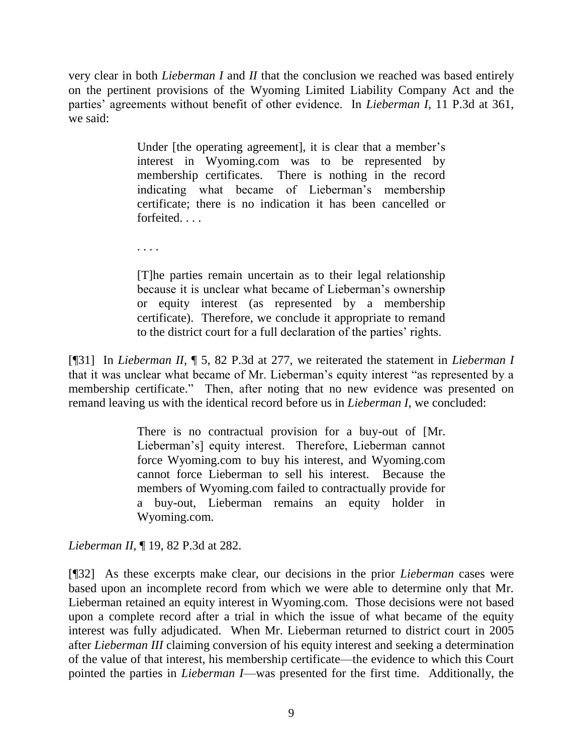very clear in both *Lieberman I* and *II* that the conclusion we reached was based entirely on the pertinent provisions of the Wyoming Limited Liability Company Act and the parties' agreements without benefit of other evidence. In *Lieberman I*, 11 P.3d at 361, we said:

> Under [the operating agreement], it is clear that a member's interest in Wyoming.com was to be represented by membership certificates. There is nothing in the record indicating what became of Lieberman's membership certificate; there is no indication it has been cancelled or forfeited. . . .

. . . .

[T]he parties remain uncertain as to their legal relationship because it is unclear what became of Lieberman's ownership or equity interest (as represented by a membership certificate). Therefore, we conclude it appropriate to remand to the district court for a full declaration of the parties' rights.

[¶31] In *Lieberman II,* ¶ 5, 82 P.3d at 277, we reiterated the statement in *Lieberman I* that it was unclear what became of Mr. Lieberman's equity interest "as represented by a membership certificate." Then, after noting that no new evidence was presented on remand leaving us with the identical record before us in *Lieberman I*, we concluded:

> There is no contractual provision for a buy-out of [Mr. Lieberman's] equity interest. Therefore, Lieberman cannot force Wyoming.com to buy his interest, and Wyoming.com cannot force Lieberman to sell his interest. Because the members of Wyoming.com failed to contractually provide for a buy-out, Lieberman remains an equity holder in Wyoming.com.

*Lieberman II*, ¶ 19, 82 P.3d at 282.

[¶32] As these excerpts make clear, our decisions in the prior *Lieberman* cases were based upon an incomplete record from which we were able to determine only that Mr. Lieberman retained an equity interest in Wyoming.com. Those decisions were not based upon a complete record after a trial in which the issue of what became of the equity interest was fully adjudicated. When Mr. Lieberman returned to district court in 2005 after *Lieberman III* claiming conversion of his equity interest and seeking a determination of the value of that interest, his membership certificate—the evidence to which this Court pointed the parties in *Lieberman I*—was presented for the first time. Additionally, the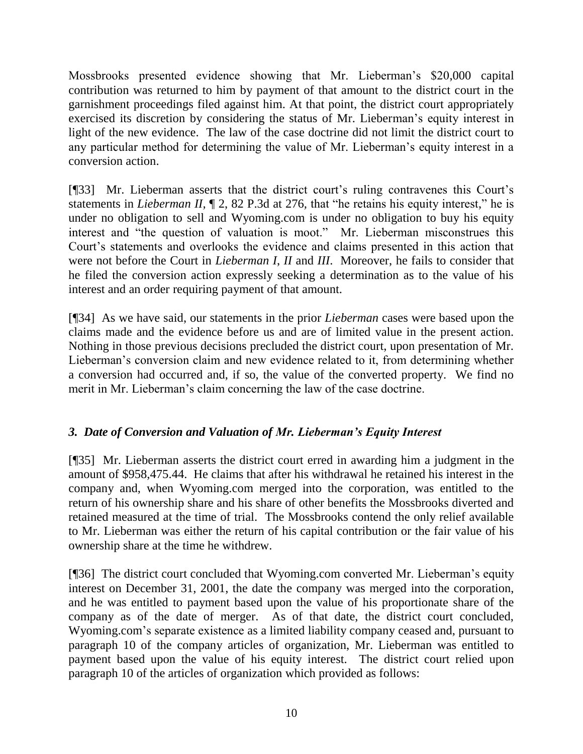Mossbrooks presented evidence showing that Mr. Lieberman's \$20,000 capital contribution was returned to him by payment of that amount to the district court in the garnishment proceedings filed against him. At that point, the district court appropriately exercised its discretion by considering the status of Mr. Lieberman's equity interest in light of the new evidence. The law of the case doctrine did not limit the district court to any particular method for determining the value of Mr. Lieberman's equity interest in a conversion action.

[¶33] Mr. Lieberman asserts that the district court's ruling contravenes this Court's statements in *Lieberman II,* ¶ 2, 82 P.3d at 276*,* that "he retains his equity interest," he is under no obligation to sell and Wyoming.com is under no obligation to buy his equity interest and "the question of valuation is moot." Mr. Lieberman misconstrues this Court's statements and overlooks the evidence and claims presented in this action that were not before the Court in *Lieberman I*, *II* and *III*. Moreover, he fails to consider that he filed the conversion action expressly seeking a determination as to the value of his interest and an order requiring payment of that amount.

[¶34] As we have said, our statements in the prior *Lieberman* cases were based upon the claims made and the evidence before us and are of limited value in the present action. Nothing in those previous decisions precluded the district court, upon presentation of Mr. Lieberman's conversion claim and new evidence related to it, from determining whether a conversion had occurred and, if so, the value of the converted property. We find no merit in Mr. Lieberman's claim concerning the law of the case doctrine.

## *3. Date of Conversion and Valuation of Mr. Lieberman's Equity Interest*

[¶35] Mr. Lieberman asserts the district court erred in awarding him a judgment in the amount of \$958,475.44. He claims that after his withdrawal he retained his interest in the company and, when Wyoming.com merged into the corporation, was entitled to the return of his ownership share and his share of other benefits the Mossbrooks diverted and retained measured at the time of trial. The Mossbrooks contend the only relief available to Mr. Lieberman was either the return of his capital contribution or the fair value of his ownership share at the time he withdrew.

[¶36] The district court concluded that Wyoming.com converted Mr. Lieberman's equity interest on December 31, 2001, the date the company was merged into the corporation, and he was entitled to payment based upon the value of his proportionate share of the company as of the date of merger. As of that date, the district court concluded, Wyoming.com's separate existence as a limited liability company ceased and, pursuant to paragraph 10 of the company articles of organization, Mr. Lieberman was entitled to payment based upon the value of his equity interest. The district court relied upon paragraph 10 of the articles of organization which provided as follows: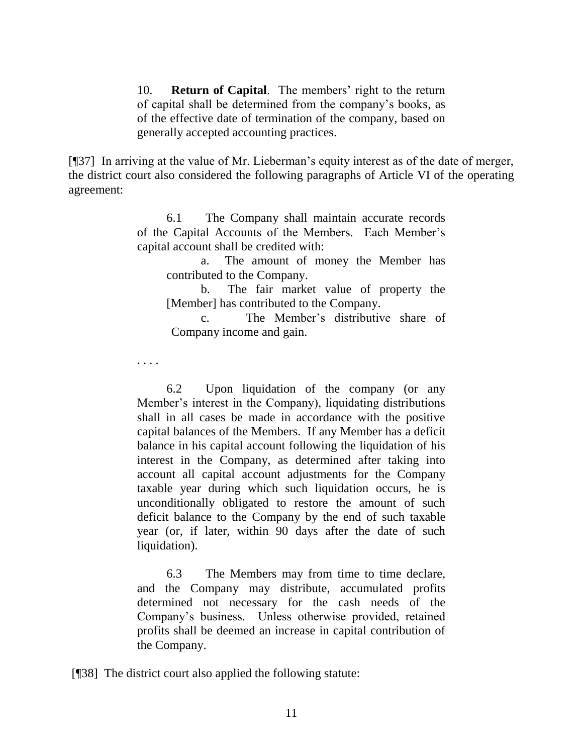10. **Return of Capital**. The members' right to the return of capital shall be determined from the company's books, as of the effective date of termination of the company, based on generally accepted accounting practices.

[¶37] In arriving at the value of Mr. Lieberman's equity interest as of the date of merger, the district court also considered the following paragraphs of Article VI of the operating agreement:

> 6.1 The Company shall maintain accurate records of the Capital Accounts of the Members. Each Member's capital account shall be credited with:

a. The amount of money the Member has contributed to the Company.

b. The fair market value of property the [Member] has contributed to the Company.

c. The Member's distributive share of Company income and gain.

. . . .

6.2 Upon liquidation of the company (or any Member's interest in the Company), liquidating distributions shall in all cases be made in accordance with the positive capital balances of the Members. If any Member has a deficit balance in his capital account following the liquidation of his interest in the Company, as determined after taking into account all capital account adjustments for the Company taxable year during which such liquidation occurs, he is unconditionally obligated to restore the amount of such deficit balance to the Company by the end of such taxable year (or, if later, within 90 days after the date of such liquidation).

6.3 The Members may from time to time declare, and the Company may distribute, accumulated profits determined not necessary for the cash needs of the Company's business. Unless otherwise provided, retained profits shall be deemed an increase in capital contribution of the Company.

[¶38] The district court also applied the following statute: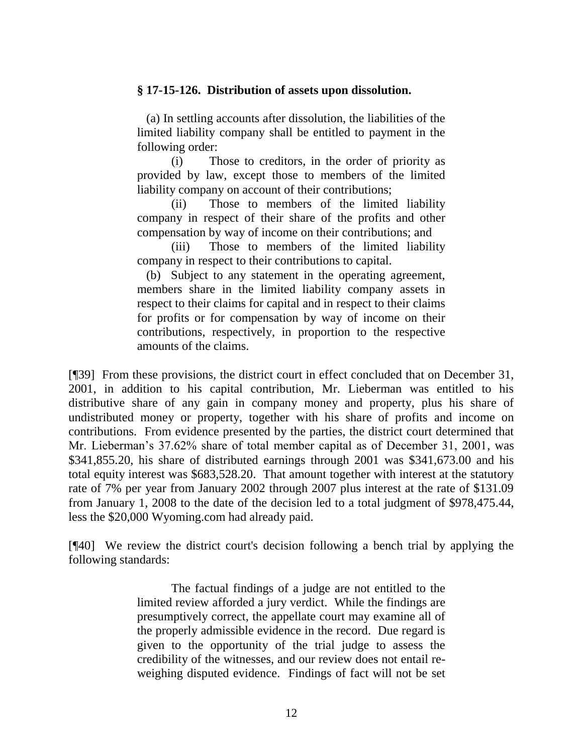#### **§ 17-15-126. Distribution of assets upon dissolution.**

 (a) In settling accounts after dissolution, the liabilities of the limited liability company shall be entitled to payment in the following order:

(i) Those to creditors, in the order of priority as provided by law, except those to members of the limited liability company on account of their contributions;

(ii) Those to members of the limited liability company in respect of their share of the profits and other compensation by way of income on their contributions; and

(iii) Those to members of the limited liability company in respect to their contributions to capital.

 (b) Subject to any statement in the operating agreement, members share in the limited liability company assets in respect to their claims for capital and in respect to their claims for profits or for compensation by way of income on their contributions, respectively, in proportion to the respective amounts of the claims.

[¶39] From these provisions, the district court in effect concluded that on December 31, 2001, in addition to his capital contribution, Mr. Lieberman was entitled to his distributive share of any gain in company money and property, plus his share of undistributed money or property, together with his share of profits and income on contributions. From evidence presented by the parties, the district court determined that Mr. Lieberman's 37.62% share of total member capital as of December 31, 2001, was \$341,855.20, his share of distributed earnings through 2001 was \$341,673.00 and his total equity interest was \$683,528.20. That amount together with interest at the statutory rate of 7% per year from January 2002 through 2007 plus interest at the rate of \$131.09 from January 1, 2008 to the date of the decision led to a total judgment of \$978,475.44, less the \$20,000 Wyoming.com had already paid.

[¶40] We review the district court's decision following a bench trial by applying the following standards:

> The factual findings of a judge are not entitled to the limited review afforded a jury verdict. While the findings are presumptively correct, the appellate court may examine all of the properly admissible evidence in the record. Due regard is given to the opportunity of the trial judge to assess the credibility of the witnesses, and our review does not entail reweighing disputed evidence. Findings of fact will not be set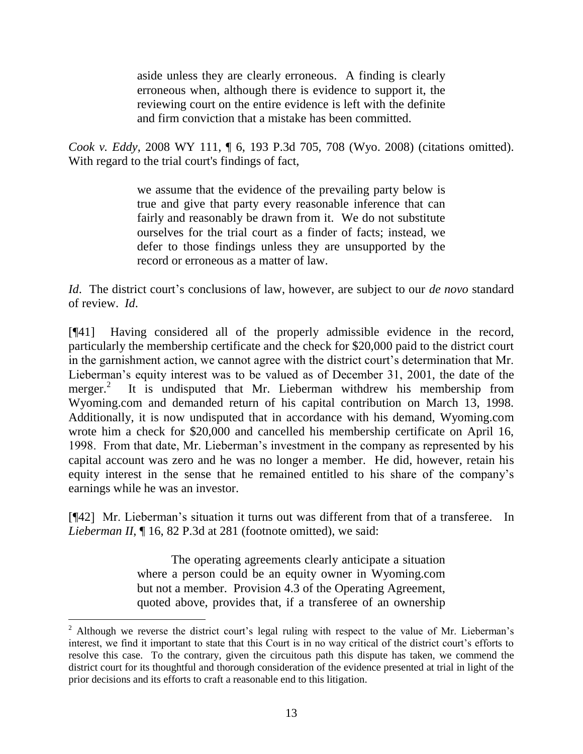aside unless they are clearly erroneous. A finding is clearly erroneous when, although there is evidence to support it, the reviewing court on the entire evidence is left with the definite and firm conviction that a mistake has been committed.

*Cook v. Eddy*, 2008 WY 111, ¶ 6, 193 P.3d 705, 708 (Wyo. 2008) (citations omitted). With regard to the trial court's findings of fact,

> we assume that the evidence of the prevailing party below is true and give that party every reasonable inference that can fairly and reasonably be drawn from it. We do not substitute ourselves for the trial court as a finder of facts; instead, we defer to those findings unless they are unsupported by the record or erroneous as a matter of law.

*Id*. The district court's conclusions of law, however, are subject to our *de novo* standard of review. *Id*.

[¶41] Having considered all of the properly admissible evidence in the record, particularly the membership certificate and the check for \$20,000 paid to the district court in the garnishment action, we cannot agree with the district court's determination that Mr. Lieberman's equity interest was to be valued as of December 31, 2001, the date of the merger.<sup>2</sup> It is undisputed that Mr. Lieberman withdrew his membership from Wyoming.com and demanded return of his capital contribution on March 13, 1998. Additionally, it is now undisputed that in accordance with his demand, Wyoming.com wrote him a check for \$20,000 and cancelled his membership certificate on April 16, 1998. From that date, Mr. Lieberman's investment in the company as represented by his capital account was zero and he was no longer a member. He did, however, retain his equity interest in the sense that he remained entitled to his share of the company's earnings while he was an investor.

[¶42] Mr. Lieberman's situation it turns out was different from that of a transferee. In *Lieberman II*, ¶ 16, 82 P.3d at 281 (footnote omitted), we said:

> The operating agreements clearly anticipate a situation where a person could be an equity owner in Wyoming.com but not a member. Provision 4.3 of the Operating Agreement, quoted above, provides that, if a transferee of an ownership

 $2$  Although we reverse the district court's legal ruling with respect to the value of Mr. Lieberman's interest, we find it important to state that this Court is in no way critical of the district court's efforts to resolve this case. To the contrary, given the circuitous path this dispute has taken, we commend the district court for its thoughtful and thorough consideration of the evidence presented at trial in light of the prior decisions and its efforts to craft a reasonable end to this litigation.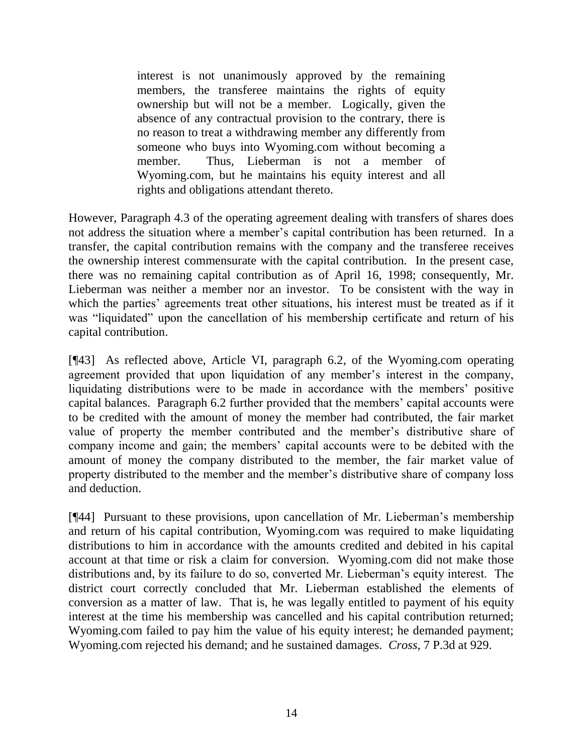interest is not unanimously approved by the remaining members, the transferee maintains the rights of equity ownership but will not be a member. Logically, given the absence of any contractual provision to the contrary, there is no reason to treat a withdrawing member any differently from someone who buys into Wyoming.com without becoming a member. Thus, Lieberman is not a member of Wyoming.com, but he maintains his equity interest and all rights and obligations attendant thereto.

However, Paragraph 4.3 of the operating agreement dealing with transfers of shares does not address the situation where a member's capital contribution has been returned. In a transfer, the capital contribution remains with the company and the transferee receives the ownership interest commensurate with the capital contribution. In the present case, there was no remaining capital contribution as of April 16, 1998; consequently, Mr. Lieberman was neither a member nor an investor. To be consistent with the way in which the parties' agreements treat other situations, his interest must be treated as if it was "liquidated" upon the cancellation of his membership certificate and return of his capital contribution.

[¶43] As reflected above, Article VI, paragraph 6.2, of the Wyoming.com operating agreement provided that upon liquidation of any member's interest in the company, liquidating distributions were to be made in accordance with the members' positive capital balances. Paragraph 6.2 further provided that the members' capital accounts were to be credited with the amount of money the member had contributed, the fair market value of property the member contributed and the member's distributive share of company income and gain; the members' capital accounts were to be debited with the amount of money the company distributed to the member, the fair market value of property distributed to the member and the member's distributive share of company loss and deduction.

[¶44] Pursuant to these provisions, upon cancellation of Mr. Lieberman's membership and return of his capital contribution, Wyoming.com was required to make liquidating distributions to him in accordance with the amounts credited and debited in his capital account at that time or risk a claim for conversion. Wyoming.com did not make those distributions and, by its failure to do so, converted Mr. Lieberman's equity interest. The district court correctly concluded that Mr. Lieberman established the elements of conversion as a matter of law. That is, he was legally entitled to payment of his equity interest at the time his membership was cancelled and his capital contribution returned; Wyoming.com failed to pay him the value of his equity interest; he demanded payment; Wyoming.com rejected his demand; and he sustained damages. *Cross,* 7 P.3d at 929.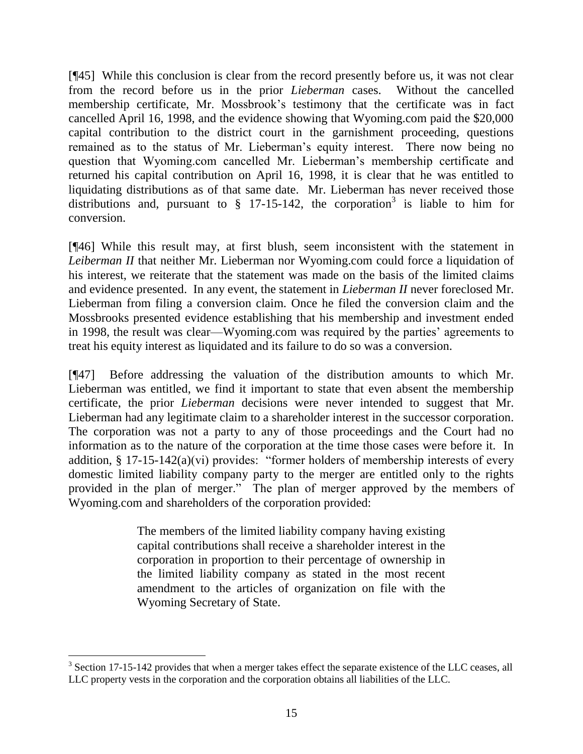[¶45] While this conclusion is clear from the record presently before us, it was not clear from the record before us in the prior *Lieberman* cases. Without the cancelled membership certificate, Mr. Mossbrook's testimony that the certificate was in fact cancelled April 16, 1998, and the evidence showing that Wyoming.com paid the \$20,000 capital contribution to the district court in the garnishment proceeding, questions remained as to the status of Mr. Lieberman's equity interest. There now being no question that Wyoming.com cancelled Mr. Lieberman's membership certificate and returned his capital contribution on April 16, 1998, it is clear that he was entitled to liquidating distributions as of that same date. Mr. Lieberman has never received those distributions and, pursuant to  $\S$  17-15-142, the corporation<sup>3</sup> is liable to him for conversion.

[¶46] While this result may, at first blush, seem inconsistent with the statement in *Leiberman II* that neither Mr. Lieberman nor Wyoming.com could force a liquidation of his interest, we reiterate that the statement was made on the basis of the limited claims and evidence presented. In any event, the statement in *Lieberman II* never foreclosed Mr. Lieberman from filing a conversion claim. Once he filed the conversion claim and the Mossbrooks presented evidence establishing that his membership and investment ended in 1998, the result was clear—Wyoming.com was required by the parties' agreements to treat his equity interest as liquidated and its failure to do so was a conversion.

[¶47] Before addressing the valuation of the distribution amounts to which Mr. Lieberman was entitled, we find it important to state that even absent the membership certificate, the prior *Lieberman* decisions were never intended to suggest that Mr. Lieberman had any legitimate claim to a shareholder interest in the successor corporation. The corporation was not a party to any of those proceedings and the Court had no information as to the nature of the corporation at the time those cases were before it. In addition,  $\S 17-15-142(a)(vi)$  provides: "former holders of membership interests of every domestic limited liability company party to the merger are entitled only to the rights provided in the plan of merger." The plan of merger approved by the members of Wyoming.com and shareholders of the corporation provided:

> The members of the limited liability company having existing capital contributions shall receive a shareholder interest in the corporation in proportion to their percentage of ownership in the limited liability company as stated in the most recent amendment to the articles of organization on file with the Wyoming Secretary of State.

l

 $3$  Section 17-15-142 provides that when a merger takes effect the separate existence of the LLC ceases, all LLC property vests in the corporation and the corporation obtains all liabilities of the LLC.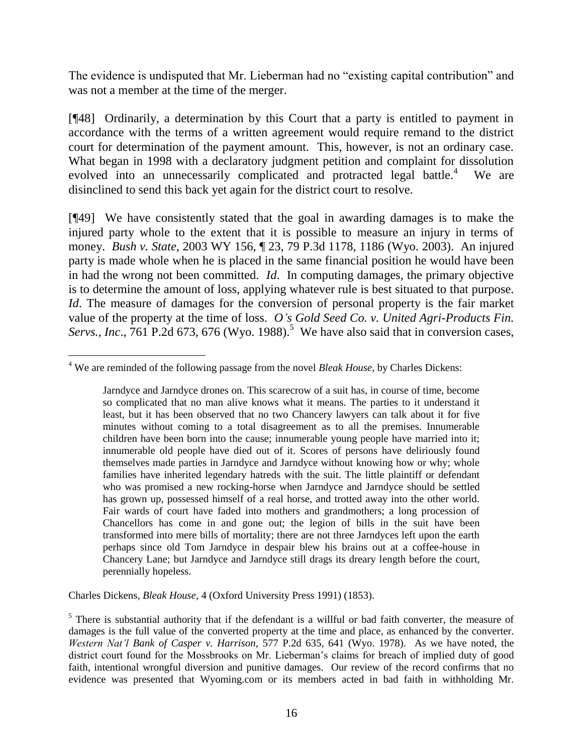The evidence is undisputed that Mr. Lieberman had no "existing capital contribution" and was not a member at the time of the merger.

[¶48] Ordinarily, a determination by this Court that a party is entitled to payment in accordance with the terms of a written agreement would require remand to the district court for determination of the payment amount. This, however, is not an ordinary case. What began in 1998 with a declaratory judgment petition and complaint for dissolution evolved into an unnecessarily complicated and protracted legal battle.<sup>4</sup> We are disinclined to send this back yet again for the district court to resolve.

[¶49] We have consistently stated that the goal in awarding damages is to make the injured party whole to the extent that it is possible to measure an injury in terms of money. *Bush v. State*, 2003 WY 156, ¶ 23, 79 P.3d 1178, 1186 (Wyo. 2003). An injured party is made whole when he is placed in the same financial position he would have been in had the wrong not been committed. *Id*. In computing damages, the primary objective is to determine the amount of loss, applying whatever rule is best situated to that purpose. *Id*. The measure of damages for the conversion of personal property is the fair market value of the property at the time of loss. *O's Gold Seed Co. v. United Agri-Products Fin.* Servs., Inc., 761 P.2d 673, 676 (Wyo. 1988).<sup>5</sup> We have also said that in conversion cases,

Charles Dickens, *Bleak House*, 4 (Oxford University Press 1991) (1853).

<sup>4</sup> We are reminded of the following passage from the novel *Bleak House*, by Charles Dickens:

Jarndyce and Jarndyce drones on. This scarecrow of a suit has, in course of time, become so complicated that no man alive knows what it means. The parties to it understand it least, but it has been observed that no two Chancery lawyers can talk about it for five minutes without coming to a total disagreement as to all the premises. Innumerable children have been born into the cause; innumerable young people have married into it; innumerable old people have died out of it. Scores of persons have deliriously found themselves made parties in Jarndyce and Jarndyce without knowing how or why; whole families have inherited legendary hatreds with the suit. The little plaintiff or defendant who was promised a new rocking-horse when Jarndyce and Jarndyce should be settled has grown up, possessed himself of a real horse, and trotted away into the other world. Fair wards of court have faded into mothers and grandmothers; a long procession of Chancellors has come in and gone out; the legion of bills in the suit have been transformed into mere bills of mortality; there are not three Jarndyces left upon the earth perhaps since old Tom Jarndyce in despair blew his brains out at a coffee-house in Chancery Lane; but Jarndyce and Jarndyce still drags its dreary length before the court, perennially hopeless.

 $<sup>5</sup>$  There is substantial authority that if the defendant is a willful or bad faith converter, the measure of</sup> damages is the full value of the converted property at the time and place, as enhanced by the converter. *Western Nat'l Bank of Casper v. Harrison*, 577 P.2d 635, 641 (Wyo. 1978). As we have noted, the district court found for the Mossbrooks on Mr. Lieberman's claims for breach of implied duty of good faith, intentional wrongful diversion and punitive damages. Our review of the record confirms that no evidence was presented that Wyoming.com or its members acted in bad faith in withholding Mr.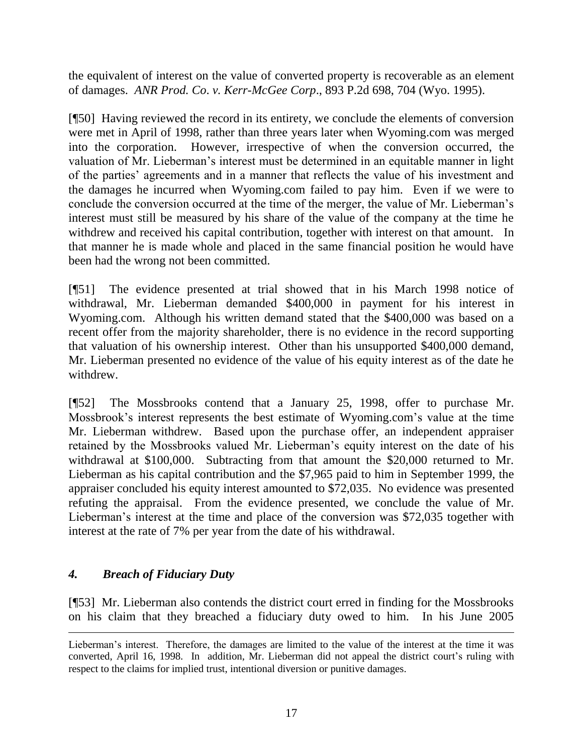the equivalent of interest on the value of converted property is recoverable as an element of damages. *ANR Prod. Co*. *v. Kerr-McGee Corp*., 893 P.2d 698, 704 (Wyo. 1995).

[¶50] Having reviewed the record in its entirety, we conclude the elements of conversion were met in April of 1998, rather than three years later when Wyoming.com was merged into the corporation. However, irrespective of when the conversion occurred, the valuation of Mr. Lieberman's interest must be determined in an equitable manner in light of the parties' agreements and in a manner that reflects the value of his investment and the damages he incurred when Wyoming.com failed to pay him. Even if we were to conclude the conversion occurred at the time of the merger, the value of Mr. Lieberman's interest must still be measured by his share of the value of the company at the time he withdrew and received his capital contribution, together with interest on that amount. In that manner he is made whole and placed in the same financial position he would have been had the wrong not been committed.

[¶51] The evidence presented at trial showed that in his March 1998 notice of withdrawal, Mr. Lieberman demanded \$400,000 in payment for his interest in Wyoming.com. Although his written demand stated that the \$400,000 was based on a recent offer from the majority shareholder, there is no evidence in the record supporting that valuation of his ownership interest. Other than his unsupported \$400,000 demand, Mr. Lieberman presented no evidence of the value of his equity interest as of the date he withdrew.

[¶52] The Mossbrooks contend that a January 25, 1998, offer to purchase Mr. Mossbrook's interest represents the best estimate of Wyoming.com's value at the time Mr. Lieberman withdrew. Based upon the purchase offer, an independent appraiser retained by the Mossbrooks valued Mr. Lieberman's equity interest on the date of his withdrawal at \$100,000. Subtracting from that amount the \$20,000 returned to Mr. Lieberman as his capital contribution and the \$7,965 paid to him in September 1999, the appraiser concluded his equity interest amounted to \$72,035. No evidence was presented refuting the appraisal. From the evidence presented, we conclude the value of Mr. Lieberman's interest at the time and place of the conversion was \$72,035 together with interest at the rate of 7% per year from the date of his withdrawal.

## *4. Breach of Fiduciary Duty*

[¶53] Mr. Lieberman also contends the district court erred in finding for the Mossbrooks on his claim that they breached a fiduciary duty owed to him. In his June 2005

Lieberman's interest. Therefore, the damages are limited to the value of the interest at the time it was converted, April 16, 1998. In addition, Mr. Lieberman did not appeal the district court's ruling with respect to the claims for implied trust, intentional diversion or punitive damages.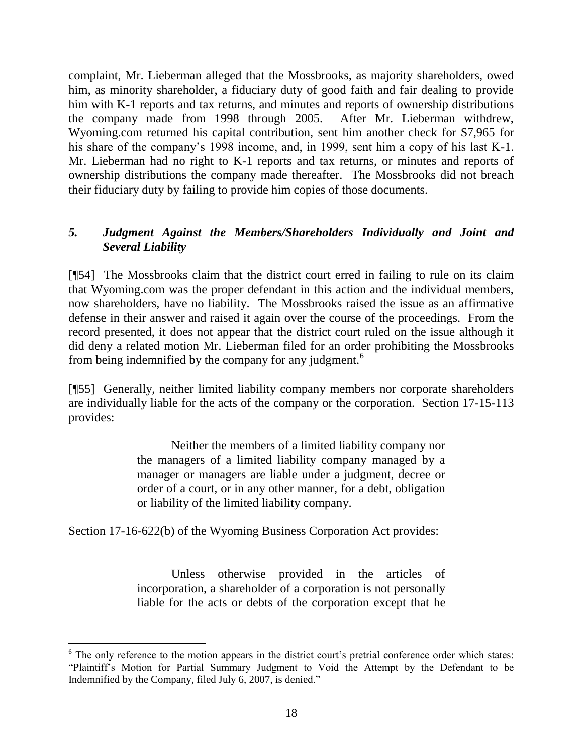complaint, Mr. Lieberman alleged that the Mossbrooks, as majority shareholders, owed him, as minority shareholder, a fiduciary duty of good faith and fair dealing to provide him with K-1 reports and tax returns, and minutes and reports of ownership distributions the company made from 1998 through 2005. After Mr. Lieberman withdrew, Wyoming.com returned his capital contribution, sent him another check for \$7,965 for his share of the company's 1998 income, and, in 1999, sent him a copy of his last K-1. Mr. Lieberman had no right to K-1 reports and tax returns, or minutes and reports of ownership distributions the company made thereafter. The Mossbrooks did not breach their fiduciary duty by failing to provide him copies of those documents.

### *5. Judgment Against the Members/Shareholders Individually and Joint and Several Liability*

[¶54] The Mossbrooks claim that the district court erred in failing to rule on its claim that Wyoming.com was the proper defendant in this action and the individual members, now shareholders, have no liability. The Mossbrooks raised the issue as an affirmative defense in their answer and raised it again over the course of the proceedings. From the record presented, it does not appear that the district court ruled on the issue although it did deny a related motion Mr. Lieberman filed for an order prohibiting the Mossbrooks from being indemnified by the company for any judgment.<sup>6</sup>

[¶55] Generally, neither limited liability company members nor corporate shareholders are individually liable for the acts of the company or the corporation. Section 17-15-113 provides:

> Neither the members of a limited liability company nor the managers of a limited liability company managed by a manager or managers are liable under a judgment, decree or order of a court, or in any other manner, for a debt, obligation or liability of the limited liability company.

Section 17-16-622(b) of the Wyoming Business Corporation Act provides:

Unless otherwise provided in the articles of incorporation, a shareholder of a corporation is not personally liable for the acts or debts of the corporation except that he

 $6$  The only reference to the motion appears in the district court's pretrial conference order which states: "Plaintiff's Motion for Partial Summary Judgment to Void the Attempt by the Defendant to be Indemnified by the Company, filed July 6, 2007, is denied."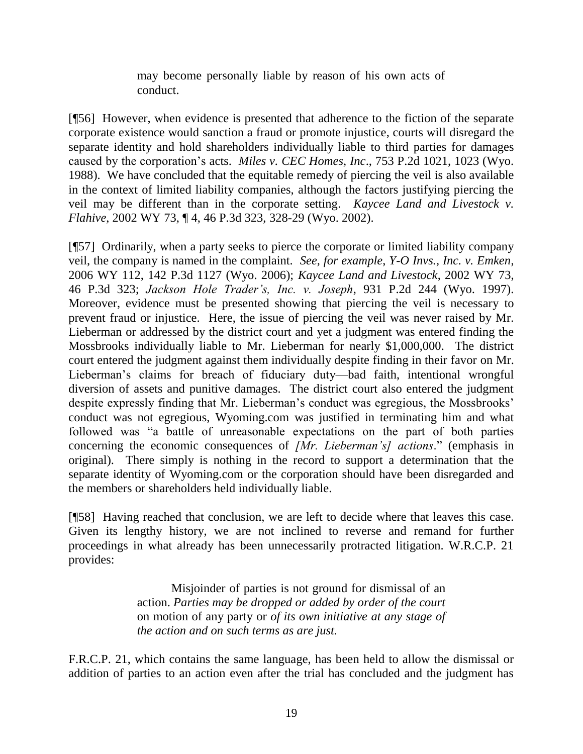may become personally liable by reason of his own acts of conduct.

[¶56] However, when evidence is presented that adherence to the fiction of the separate corporate existence would sanction a fraud or promote injustice, courts will disregard the separate identity and hold shareholders individually liable to third parties for damages caused by the corporation's acts. *Miles v. CEC Homes, Inc*., 753 P.2d 1021, 1023 (Wyo. 1988). We have concluded that the equitable remedy of piercing the veil is also available in the context of limited liability companies, although the factors justifying piercing the veil may be different than in the corporate setting. *Kaycee Land and Livestock v. Flahive*, 2002 WY 73, ¶ 4, 46 P.3d 323, 328-29 (Wyo. 2002).

[¶57] Ordinarily, when a party seeks to pierce the corporate or limited liability company veil, the company is named in the complaint. *See, for example*, *Y-O Invs., Inc. v. Emken*, 2006 WY 112, 142 P.3d 1127 (Wyo. 2006); *Kaycee Land and Livestock*, 2002 WY 73, 46 P.3d 323; *Jackson Hole Trader's, Inc. v. Joseph*, 931 P.2d 244 (Wyo. 1997). Moreover, evidence must be presented showing that piercing the veil is necessary to prevent fraud or injustice. Here, the issue of piercing the veil was never raised by Mr. Lieberman or addressed by the district court and yet a judgment was entered finding the Mossbrooks individually liable to Mr. Lieberman for nearly \$1,000,000. The district court entered the judgment against them individually despite finding in their favor on Mr. Lieberman's claims for breach of fiduciary duty—bad faith, intentional wrongful diversion of assets and punitive damages. The district court also entered the judgment despite expressly finding that Mr. Lieberman's conduct was egregious, the Mossbrooks' conduct was not egregious, Wyoming.com was justified in terminating him and what followed was "a battle of unreasonable expectations on the part of both parties concerning the economic consequences of *[Mr. Lieberman's] actions*." (emphasis in original). There simply is nothing in the record to support a determination that the separate identity of Wyoming.com or the corporation should have been disregarded and the members or shareholders held individually liable.

[¶58] Having reached that conclusion, we are left to decide where that leaves this case. Given its lengthy history, we are not inclined to reverse and remand for further proceedings in what already has been unnecessarily protracted litigation. W.R.C.P. 21 provides:

> Misjoinder of parties is not ground for dismissal of an action. *Parties may be dropped or added by order of the court* on motion of any party or *of its own initiative at any stage of the action and on such terms as are just.*

F.R.C.P. 21, which contains the same language, has been held to allow the dismissal or addition of parties to an action even after the trial has concluded and the judgment has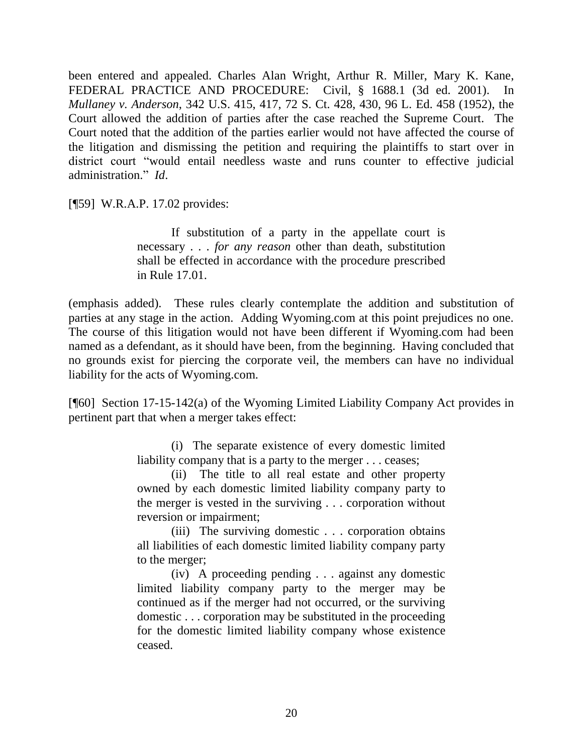been entered and appealed. Charles Alan Wright, Arthur R. Miller, Mary K. Kane, FEDERAL PRACTICE AND PROCEDURE: Civil, § 1688.1 (3d ed. 2001). In *Mullaney v. Anderson*, 342 U.S. 415, 417, 72 S. Ct. 428, 430, 96 L. Ed. 458 (1952), the Court allowed the addition of parties after the case reached the Supreme Court. The Court noted that the addition of the parties earlier would not have affected the course of the litigation and dismissing the petition and requiring the plaintiffs to start over in district court "would entail needless waste and runs counter to effective judicial administration." *Id*.

[¶59] W.R.A.P. 17.02 provides:

If substitution of a party in the appellate court is necessary . . . *for any reason* other than death, substitution shall be effected in accordance with the procedure prescribed in Rule 17.01.

(emphasis added). These rules clearly contemplate the addition and substitution of parties at any stage in the action. Adding Wyoming.com at this point prejudices no one. The course of this litigation would not have been different if Wyoming.com had been named as a defendant, as it should have been, from the beginning. Having concluded that no grounds exist for piercing the corporate veil, the members can have no individual liability for the acts of Wyoming.com.

[¶60] Section 17-15-142(a) of the Wyoming Limited Liability Company Act provides in pertinent part that when a merger takes effect:

> (i) The separate existence of every domestic limited liability company that is a party to the merger . . . ceases;

> (ii) The title to all real estate and other property owned by each domestic limited liability company party to the merger is vested in the surviving . . . corporation without reversion or impairment;

> (iii) The surviving domestic . . . corporation obtains all liabilities of each domestic limited liability company party to the merger;

> (iv) A proceeding pending . . . against any domestic limited liability company party to the merger may be continued as if the merger had not occurred, or the surviving domestic . . . corporation may be substituted in the proceeding for the domestic limited liability company whose existence ceased.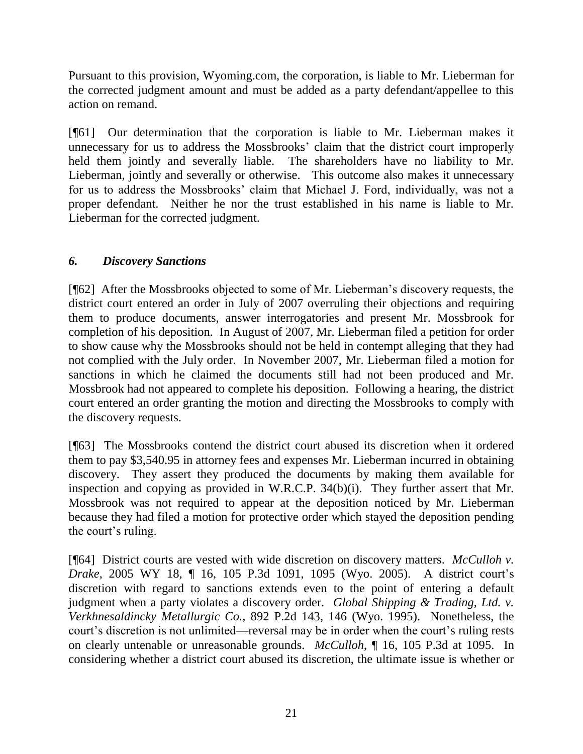Pursuant to this provision, Wyoming.com, the corporation, is liable to Mr. Lieberman for the corrected judgment amount and must be added as a party defendant/appellee to this action on remand.

[¶61] Our determination that the corporation is liable to Mr. Lieberman makes it unnecessary for us to address the Mossbrooks' claim that the district court improperly held them jointly and severally liable. The shareholders have no liability to Mr. Lieberman, jointly and severally or otherwise. This outcome also makes it unnecessary for us to address the Mossbrooks' claim that Michael J. Ford, individually, was not a proper defendant. Neither he nor the trust established in his name is liable to Mr. Lieberman for the corrected judgment.

## *6. Discovery Sanctions*

[¶62] After the Mossbrooks objected to some of Mr. Lieberman's discovery requests, the district court entered an order in July of 2007 overruling their objections and requiring them to produce documents, answer interrogatories and present Mr. Mossbrook for completion of his deposition. In August of 2007, Mr. Lieberman filed a petition for order to show cause why the Mossbrooks should not be held in contempt alleging that they had not complied with the July order. In November 2007, Mr. Lieberman filed a motion for sanctions in which he claimed the documents still had not been produced and Mr. Mossbrook had not appeared to complete his deposition. Following a hearing, the district court entered an order granting the motion and directing the Mossbrooks to comply with the discovery requests.

[¶63] The Mossbrooks contend the district court abused its discretion when it ordered them to pay \$3,540.95 in attorney fees and expenses Mr. Lieberman incurred in obtaining discovery. They assert they produced the documents by making them available for inspection and copying as provided in W.R.C.P. 34(b)(i). They further assert that Mr. Mossbrook was not required to appear at the deposition noticed by Mr. Lieberman because they had filed a motion for protective order which stayed the deposition pending the court's ruling.

[¶64] District courts are vested with wide discretion on discovery matters. *McCulloh v. Drake*, 2005 WY 18, ¶ 16, 105 P.3d 1091, 1095 (Wyo. 2005). A district court's discretion with regard to sanctions extends even to the point of entering a default judgment when a party violates a discovery order. *Global Shipping & Trading, Ltd. v. Verkhnesaldincky Metallurgic Co.,* 892 P.2d 143, 146 (Wyo. 1995). Nonetheless, the court's discretion is not unlimited—reversal may be in order when the court's ruling rests on clearly untenable or unreasonable grounds. *McCulloh*, ¶ 16, 105 P.3d at 1095. In considering whether a district court abused its discretion, the ultimate issue is whether or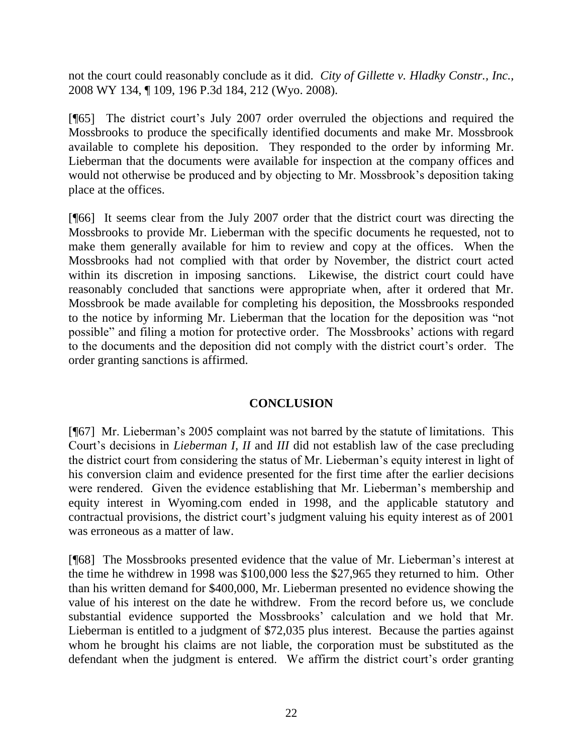not the court could reasonably conclude as it did. *City of Gillette v. Hladky Constr., Inc.,*  2008 WY 134, ¶ 109, 196 P.3d 184, 212 (Wyo. 2008).

[¶65] The district court's July 2007 order overruled the objections and required the Mossbrooks to produce the specifically identified documents and make Mr. Mossbrook available to complete his deposition. They responded to the order by informing Mr. Lieberman that the documents were available for inspection at the company offices and would not otherwise be produced and by objecting to Mr. Mossbrook's deposition taking place at the offices.

[¶66] It seems clear from the July 2007 order that the district court was directing the Mossbrooks to provide Mr. Lieberman with the specific documents he requested, not to make them generally available for him to review and copy at the offices. When the Mossbrooks had not complied with that order by November, the district court acted within its discretion in imposing sanctions. Likewise, the district court could have reasonably concluded that sanctions were appropriate when, after it ordered that Mr. Mossbrook be made available for completing his deposition, the Mossbrooks responded to the notice by informing Mr. Lieberman that the location for the deposition was "not possible" and filing a motion for protective order. The Mossbrooks' actions with regard to the documents and the deposition did not comply with the district court's order. The order granting sanctions is affirmed.

#### **CONCLUSION**

[¶67] Mr. Lieberman's 2005 complaint was not barred by the statute of limitations. This Court's decisions in *Lieberman I, II* and *III* did not establish law of the case precluding the district court from considering the status of Mr. Lieberman's equity interest in light of his conversion claim and evidence presented for the first time after the earlier decisions were rendered. Given the evidence establishing that Mr. Lieberman's membership and equity interest in Wyoming.com ended in 1998, and the applicable statutory and contractual provisions, the district court's judgment valuing his equity interest as of 2001 was erroneous as a matter of law.

[¶68] The Mossbrooks presented evidence that the value of Mr. Lieberman's interest at the time he withdrew in 1998 was \$100,000 less the \$27,965 they returned to him. Other than his written demand for \$400,000, Mr. Lieberman presented no evidence showing the value of his interest on the date he withdrew. From the record before us, we conclude substantial evidence supported the Mossbrooks' calculation and we hold that Mr. Lieberman is entitled to a judgment of \$72,035 plus interest. Because the parties against whom he brought his claims are not liable, the corporation must be substituted as the defendant when the judgment is entered. We affirm the district court's order granting